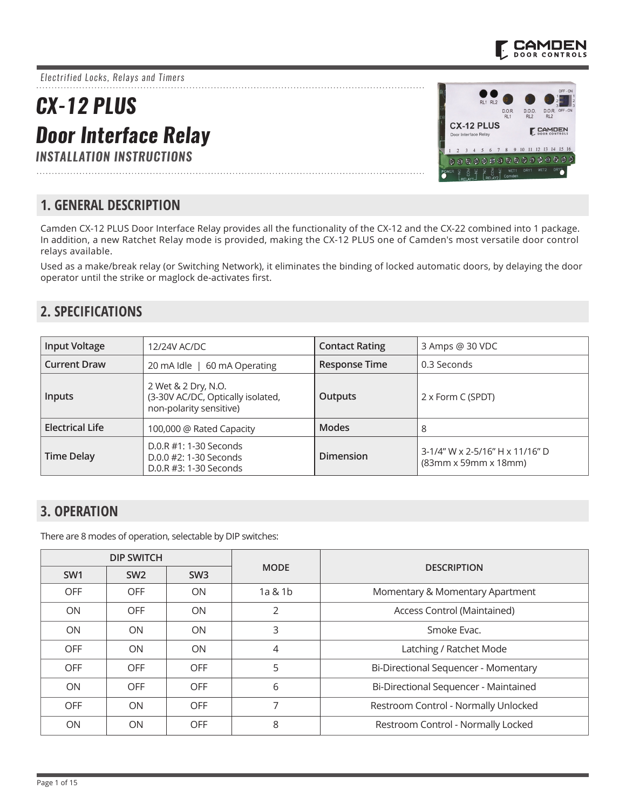

*Electrified Locks, Relays and Timers*

# *CX-12 PLUS Door Interface Relay*

*INSTALLATION INSTRUCTIONS*



### **1. GENERAL DESCRIPTION**

Camden CX-12 PLUS Door Interface Relay provides all the functionality of the CX-12 and the CX-22 combined into 1 package. In addition, a new Ratchet Relay mode is provided, making the CX-12 PLUS one of Camden's most versatile door control relays available.

Used as a make/break relay (or Switching Network), it eliminates the binding of locked automatic doors, by delaying the door operator until the strike or maglock de-activates first.

### **2. SPECIFICATIONS**

| <b>Input Voltage</b>   | 12/24V AC/DC                                                                        | <b>Contact Rating</b> | 3 Amps @ 30 VDC                                                     |
|------------------------|-------------------------------------------------------------------------------------|-----------------------|---------------------------------------------------------------------|
| <b>Current Draw</b>    | 60 mA Operating<br>20 mA Idle                                                       | <b>Response Time</b>  | 0.3 Seconds                                                         |
| <b>Inputs</b>          | 2 Wet & 2 Dry, N.O.<br>(3-30V AC/DC, Optically isolated,<br>non-polarity sensitive) | <b>Outputs</b>        | 2 x Form C (SPDT)                                                   |
| <b>Electrical Life</b> | 100,000 @ Rated Capacity                                                            | <b>Modes</b>          | 8                                                                   |
| <b>Time Delay</b>      | $D.0.R$ #1: 1-30 Seconds<br>$D.0.0$ #2: 1-30 Seconds<br>D.0.R #3: 1-30 Seconds      | <b>Dimension</b>      | 3-1/4" W x 2-5/16" H x 11/16" D<br>$(83mm \times 59mm \times 18mm)$ |

### **3. OPERATION**

There are 8 modes of operation, selectable by DIP switches:

| <b>DIP SWITCH</b> |                 |                 |                |                                       |
|-------------------|-----------------|-----------------|----------------|---------------------------------------|
| SW <sub>1</sub>   | SW <sub>2</sub> | SW <sub>3</sub> | <b>MODE</b>    | <b>DESCRIPTION</b>                    |
| <b>OFF</b>        | <b>OFF</b>      | <b>ON</b>       | 1a & 1b        | Momentary & Momentary Apartment       |
| <b>ON</b>         | <b>OFF</b>      | <b>ON</b>       | $\overline{2}$ | Access Control (Maintained)           |
| <b>ON</b>         | ON              | <b>ON</b>       | 3              | Smoke Evac.                           |
| <b>OFF</b>        | <b>ON</b>       | <b>ON</b>       | 4              | Latching / Ratchet Mode               |
| <b>OFF</b>        | <b>OFF</b>      | <b>OFF</b>      | 5              | Bi-Directional Sequencer - Momentary  |
| <b>ON</b>         | <b>OFF</b>      | <b>OFF</b>      | 6              | Bi-Directional Sequencer - Maintained |
| <b>OFF</b>        | ON              | <b>OFF</b>      | 7              | Restroom Control - Normally Unlocked  |
| ON                | ON              | <b>OFF</b>      | 8              | Restroom Control - Normally Locked    |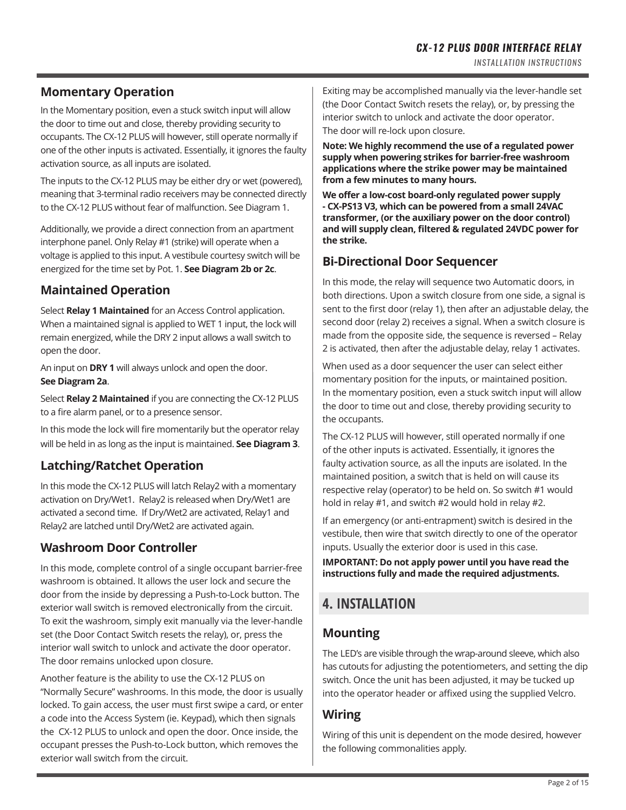### **Momentary Operation**

In the Momentary position, even a stuck switch input will allow the door to time out and close, thereby providing security to occupants. The CX-12 PLUS will however, still operate normally if one of the other inputs is activated. Essentially, it ignores the faulty activation source, as all inputs are isolated.

The inputs to the CX-12 PLUS may be either dry or wet (powered), meaning that 3-terminal radio receivers may be connected directly to the CX-12 PLUS without fear of malfunction. See Diagram 1.

Additionally, we provide a direct connection from an apartment interphone panel. Only Relay #1 (strike) will operate when a voltage is applied to this input. A vestibule courtesy switch will be energized for the time set by Pot. 1. **See Diagram 2b or 2c**.

### **Maintained Operation**

Select **Relay 1 Maintained** for an Access Control application. When a maintained signal is applied to WET 1 input, the lock will remain energized, while the DRY 2 input allows a wall switch to open the door.

An input on **DRY 1** will always unlock and open the door. **See Diagram 2a**.

Select **Relay 2 Maintained** if you are connecting the CX-12 PLUS to a fire alarm panel, or to a presence sensor.

In this mode the lock will fire momentarily but the operator relay will be held in as long as the input is maintained. **See Diagram 3**.

### **Latching/Ratchet Operation**

In this mode the CX-12 PLUS will latch Relay2 with a momentary activation on Dry/Wet1. Relay2 is released when Dry/Wet1 are activated a second time. If Dry/Wet2 are activated, Relay1 and Relay2 are latched until Dry/Wet2 are activated again.

### **Washroom Door Controller**

In this mode, complete control of a single occupant barrier-free washroom is obtained. It allows the user lock and secure the door from the inside by depressing a Push-to-Lock button. The exterior wall switch is removed electronically from the circuit. To exit the washroom, simply exit manually via the lever-handle set (the Door Contact Switch resets the relay), or, press the interior wall switch to unlock and activate the door operator. The door remains unlocked upon closure.

Another feature is the ability to use the CX-12 PLUS on "Normally Secure" washrooms. In this mode, the door is usually locked. To gain access, the user must first swipe a card, or enter a code into the Access System (ie. Keypad), which then signals the CX-12 PLUS to unlock and open the door. Once inside, the occupant presses the Push-to-Lock button, which removes the exterior wall switch from the circuit.

Exiting may be accomplished manually via the lever-handle set (the Door Contact Switch resets the relay), or, by pressing the interior switch to unlock and activate the door operator. The door will re-lock upon closure.

**Note: We highly recommend the use of a regulated power supply when powering strikes for barrier-free washroom applications where the strike power may be maintained from a few minutes to many hours.**

**We offer a low-cost board-only regulated power supply - CX-PS13 V3, which can be powered from a small 24VAC transformer, (or the auxiliary power on the door control) and will supply clean, filtered & regulated 24VDC power for the strike.**

### **Bi-Directional Door Sequencer**

In this mode, the relay will sequence two Automatic doors, in both directions. Upon a switch closure from one side, a signal is sent to the first door (relay 1), then after an adjustable delay, the second door (relay 2) receives a signal. When a switch closure is made from the opposite side, the sequence is reversed – Relay 2 is activated, then after the adjustable delay, relay 1 activates.

When used as a door sequencer the user can select either momentary position for the inputs, or maintained position. In the momentary position, even a stuck switch input will allow the door to time out and close, thereby providing security to the occupants.

The CX-12 PLUS will however, still operated normally if one of the other inputs is activated. Essentially, it ignores the faulty activation source, as all the inputs are isolated. In the maintained position, a switch that is held on will cause its respective relay (operator) to be held on. So switch #1 would hold in relay #1, and switch #2 would hold in relay #2.

If an emergency (or anti-entrapment) switch is desired in the vestibule, then wire that switch directly to one of the operator inputs. Usually the exterior door is used in this case.

**IMPORTANT: Do not apply power until you have read the instructions fully and made the required adjustments.**

## **4. INSTALLATION**

### **Mounting**

The LED's are visible through the wrap-around sleeve, which also has cutouts for adjusting the potentiometers, and setting the dip switch. Once the unit has been adjusted, it may be tucked up into the operator header or affixed using the supplied Velcro.

### **Wiring**

Wiring of this unit is dependent on the mode desired, however the following commonalities apply.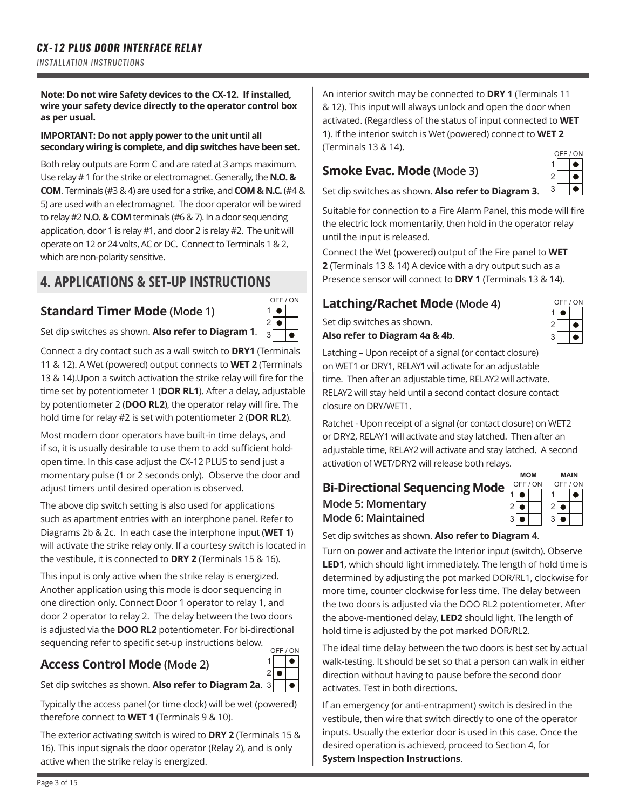#### **Note: Do not wire Safety devices to the CX-12. If installed, wire your safety device directly to the operator control box as per usual.**

#### **IMPORTANT: Do not apply power to the unit until all secondary wiring is complete, and dip switches have been set.**

Both relay outputs are Form C and are rated at 3 amps maximum. Use relay # 1 for the strike or electromagnet. Generally, the **N.O. & COM**. Terminals (#3 & 4) are used for a strike, and **COM & N.C.** (#4 & 5) are used with an electromagnet. The door operator will be wired to relay #2 **N.O. & COM** terminals (#6 & 7). In a door sequencing application, door 1 is relay #1, and door 2 is relay #2. The unit will operate on 12 or 24 volts, AC or DC. Connect to Terminals 1 & 2, which are non-polarity sensitive.

### **4. APPLICATIONS & SET-UP INSTRUCTIONS**

### **Standard Timer Mode (Mode 1)**



1  $\overline{2}$ 

 $\bullet$  $\bullet$  $\overline{\bullet}$ 

Set dip switches as shown. **Also refer to Diagram 1**.

Connect a dry contact such as a wall switch to **DRY1** (Terminals 11 & 12). A Wet (powered) output connects to **WET 2** (Terminals 13 & 14).Upon a switch activation the strike relay will fire for the time set by potentiometer 1 (**DOR RL1**). After a delay, adjustable by potentiometer 2 (**DOO RL2**), the operator relay will fire. The hold time for relay #2 is set with potentiometer 2 (**DOR RL2**).

Most modern door operators have built-in time delays, and if so, it is usually desirable to use them to add sufficient holdopen time. In this case adjust the CX-12 PLUS to send just a momentary pulse (1 or 2 seconds only). Observe the door and adjust timers until desired operation is observed.

The above dip switch setting is also used for applications such as apartment entries with an interphone panel. Refer to Diagrams 2b & 2c. In each case the interphone input (**WET 1**) will activate the strike relay only. If a courtesy switch is located in the vestibule, it is connected to **DRY 2** (Terminals 15 & 16).

This input is only active when the strike relay is energized. Another application using this mode is door sequencing in one direction only. Connect Door 1 operator to relay 1, and door 2 operator to relay 2. The delay between the two doors is adjusted via the **DOO RL2** potentiometer. For bi-directional sequencing refer to specific set-up instructions below. OFF / ON

### **Access Control Mode (Mode 2)**

Set dip switches as shown. **Also refer to Diagram 2a**. 3

Typically the access panel (or time clock) will be wet (powered) therefore connect to **WET 1** (Terminals 9 & 10).

The exterior activating switch is wired to **DRY 2** (Terminals 15 & 16). This input signals the door operator (Relay 2), and is only active when the strike relay is energized.

An interior switch may be connected to **DRY 1** (Terminals 11 & 12). This input will always unlock and open the door when activated. (Regardless of the status of input connected to **WET 1**). If the interior switch is Wet (powered) connect to **WET 2** (Terminals 13 & 14).

### **Smoke Evac. Mode (Mode 3)**

|   | OFF / ON |
|---|----------|
|   |          |
| 2 |          |
| 3 |          |

Set dip switches as shown. **Also refer to Diagram 3**.

Suitable for connection to a Fire Alarm Panel, this mode will fire the electric lock momentarily, then hold in the operator relay until the input is released.

Connect the Wet (powered) output of the Fire panel to **WET 2** (Terminals 13 & 14) A device with a dry output such as a Presence sensor will connect to **DRY 1** (Terminals 13 & 14).

### **Latching/Rachet Mode (Mode 4)**

Set dip switches as shown.

**Also refer to Diagram 4a & 4b**.

| ΟN<br>OFF /    |  |  |  |
|----------------|--|--|--|
|                |  |  |  |
| $\overline{c}$ |  |  |  |
| 3              |  |  |  |

Latching – Upon receipt of a signal (or contact closure) on WET1 or DRY1, RELAY1 will activate for an adjustable time. Then after an adjustable time, RELAY2 will activate. RELAY2 will stay held until a second contact closure contact closure on DRY/WET1.

Ratchet - Upon receipt of a signal (or contact closure) on WET2 or DRY2, RELAY1 will activate and stay latched. Then after an adjustable time, RELAY2 will activate and stay latched. A second activation of WET/DRY2 will release both relays.

#### **MOM MAIN** OFF / ON OFF / ON **Bi-Directional Sequencing Mode**  $\bullet$  $\bullet$ 1 1 **Mode 5: Momentary** 2  $\bullet$ 2  $\bullet$ **Mode 6: Maintained** 3  $\bullet$ 3  $\bullet$

Set dip switches as shown. **Also refer to Diagram 4**.

Turn on power and activate the Interior input (switch). Observe **LED1**, which should light immediately. The length of hold time is determined by adjusting the pot marked DOR/RL1, clockwise for more time, counter clockwise for less time. The delay between the two doors is adjusted via the DOO RL2 potentiometer. After the above-mentioned delay, **LED2** should light. The length of hold time is adjusted by the pot marked DOR/RL2.

The ideal time delay between the two doors is best set by actual walk-testing. It should be set so that a person can walk in either direction without having to pause before the second door activates. Test in both directions.

If an emergency (or anti-entrapment) switch is desired in the vestibule, then wire that switch directly to one of the operator inputs. Usually the exterior door is used in this case. Once the desired operation is achieved, proceed to Section 4, for **System Inspection Instructions**.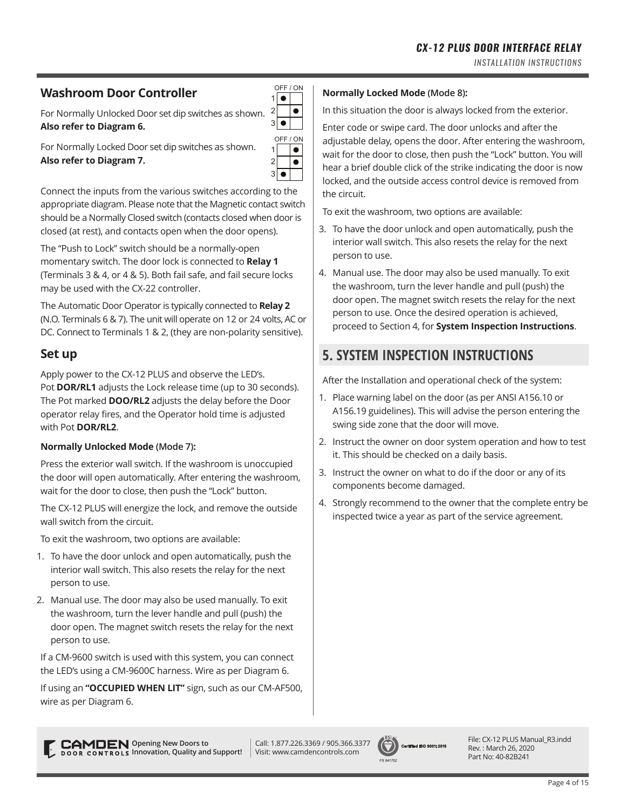### **Washroom Door Controller**

For Normally Unlocked Door set dip switches as shown. **Also refer to Diagram 6.**

| 3              |          |
|----------------|----------|
|                | OFF / ON |
|                |          |
| $\overline{c}$ |          |
| 3              |          |

OFF / ON 1 2

 $\bullet$  $\bullet$ 

For Normally Locked Door set dip switches as shown. **Also refer to Diagram 7.**

Connect the inputs from the various switches according to the appropriate diagram. Please note that the Magnetic contact switch should be a Normally Closed switch (contacts closed when door is closed (at rest), and contacts open when the door opens).

The "Push to Lock" switch should be a normally-open momentary switch. The door lock is connected to **Relay 1** (Terminals 3 & 4, or 4 & 5). Both fail safe, and fail secure locks may be used with the CX-22 controller.

The Automatic Door Operator is typically connected to **Relay 2** (N.O. Terminals 6 & 7). The unit will operate on 12 or 24 volts, AC or DC. Connect to Terminals 1 & 2, (they are non-polarity sensitive).

### **Set up**

Apply power to the CX-12 PLUS and observe the LED's. Pot **DOR/RL1** adjusts the Lock release time (up to 30 seconds). The Pot marked **DOO/RL2** adjusts the delay before the Door operator relay fires, and the Operator hold time is adjusted with Pot **DOR/RL2**.

### **Normally Unlocked Mode (Mode 7):**

Press the exterior wall switch. If the washroom is unoccupied the door will open automatically. After entering the washroom, wait for the door to close, then push the "Lock" button.

The CX-12 PLUS will energize the lock, and remove the outside wall switch from the circuit.

To exit the washroom, two options are available:

- 1. To have the door unlock and open automatically, push the interior wall switch. This also resets the relay for the next person to use.
- 2. Manual use. The door may also be used manually. To exit the washroom, turn the lever handle and pull (push) the door open. The magnet switch resets the relay for the next person to use.

If a CM-9600 switch is used with this system, you can connect the LED's using a CM-9600C harness. Wire as per Diagram 6.

If using an **"OCCUPIED WHEN LIT"** sign, such as our CM-AF500, wire as per Diagram 6.

#### **Normally Locked Mode (Mode 8):**

In this situation the door is always locked from the exterior.

Enter code or swipe card. The door unlocks and after the adjustable delay, opens the door. After entering the washroom, wait for the door to close, then push the "Lock" button. You will hear a brief double click of the strike indicating the door is now locked, and the outside access control device is removed from the circuit.

To exit the washroom, two options are available:

- 3. To have the door unlock and open automatically, push the interior wall switch. This also resets the relay for the next person to use.
- 4. Manual use. The door may also be used manually. To exit the washroom, turn the lever handle and pull (push) the door open. The magnet switch resets the relay for the next person to use. Once the desired operation is achieved, proceed to Section 4, for **System Inspection Instructions**.

### **5. SYSTEM INSPECTION INSTRUCTIONS**

After the Installation and operational check of the system:

- 1. Place warning label on the door (as per ANSI A156.10 or A156.19 guidelines). This will advise the person entering the swing side zone that the door will move.
- 2. Instruct the owner on door system operation and how to test it. This should be checked on a daily basis.
- 3. Instruct the owner on what to do if the door or any of its components become damaged.
- 4. Strongly recommend to the owner that the complete entry be inspected twice a year as part of the service agreement.



File: CX-12 PLUS Manual\_R3.indd Rev. : March 26, 2020 Part No: 40-82B241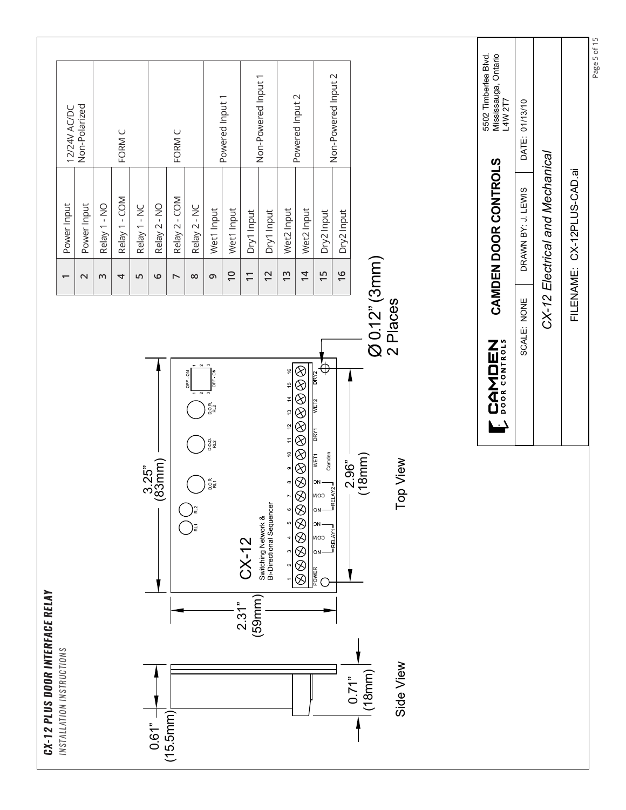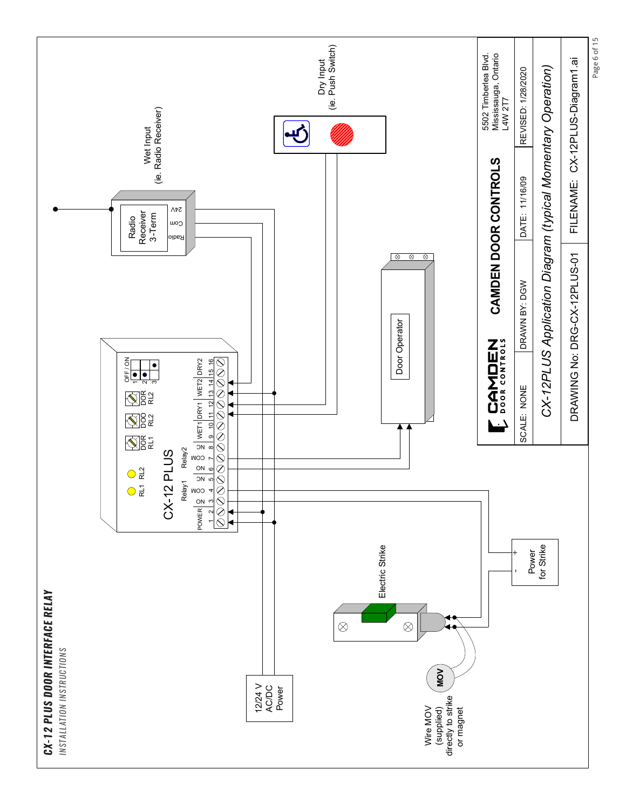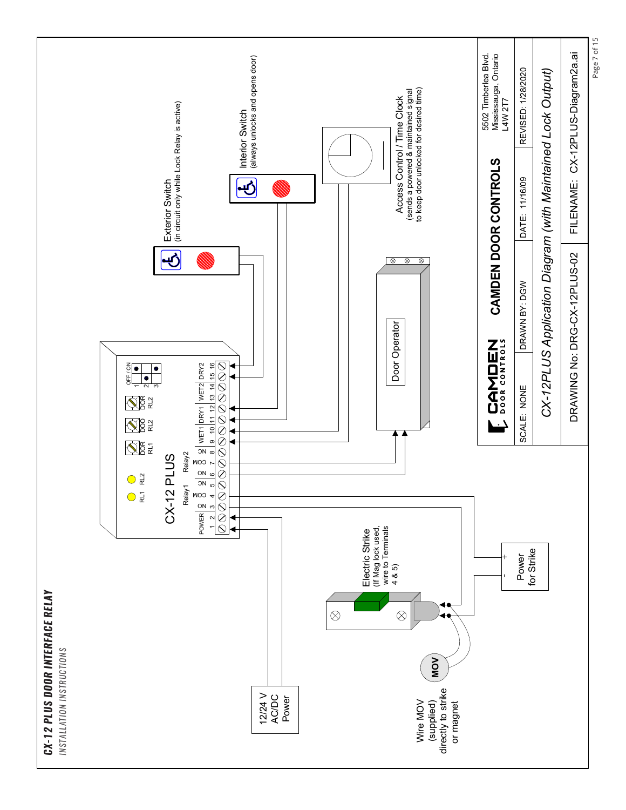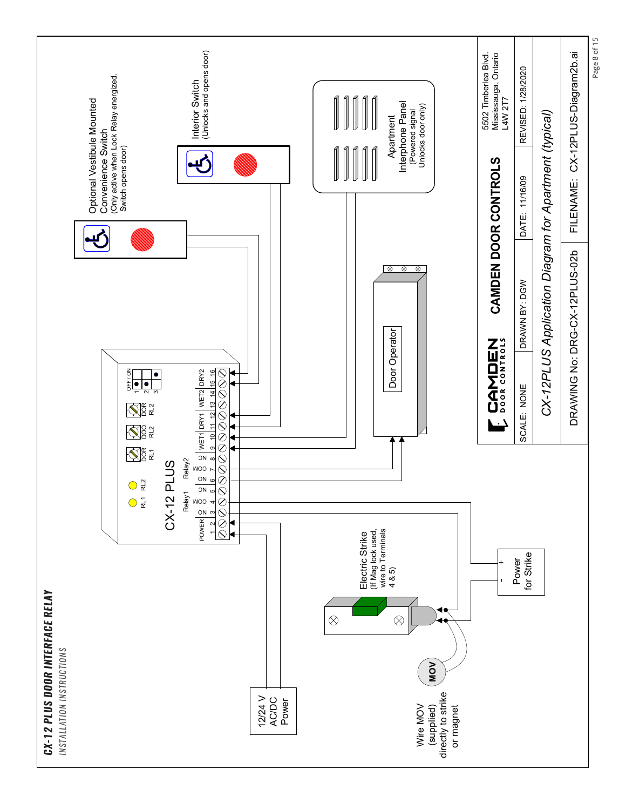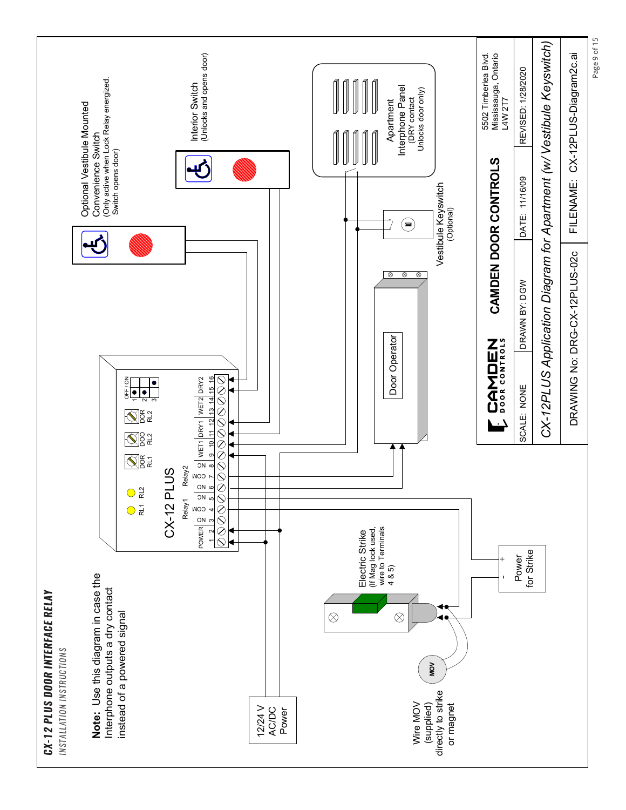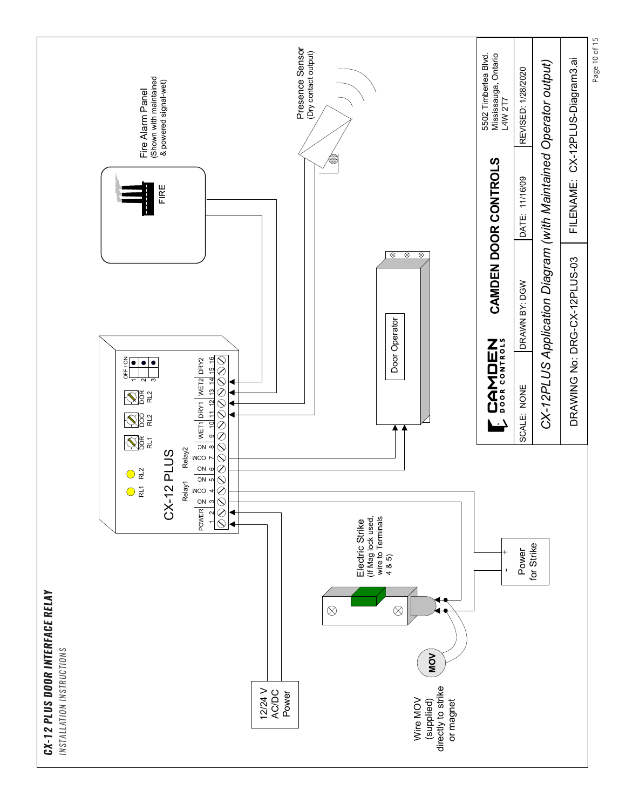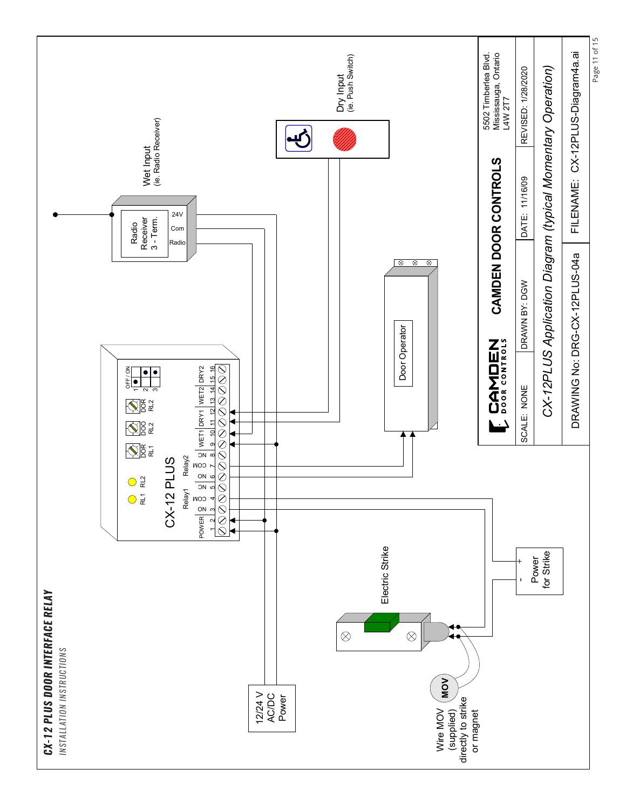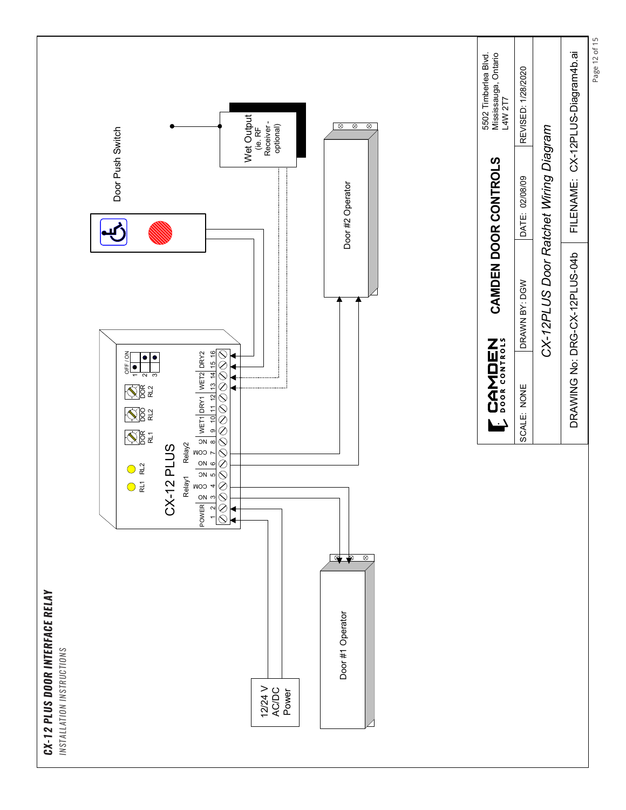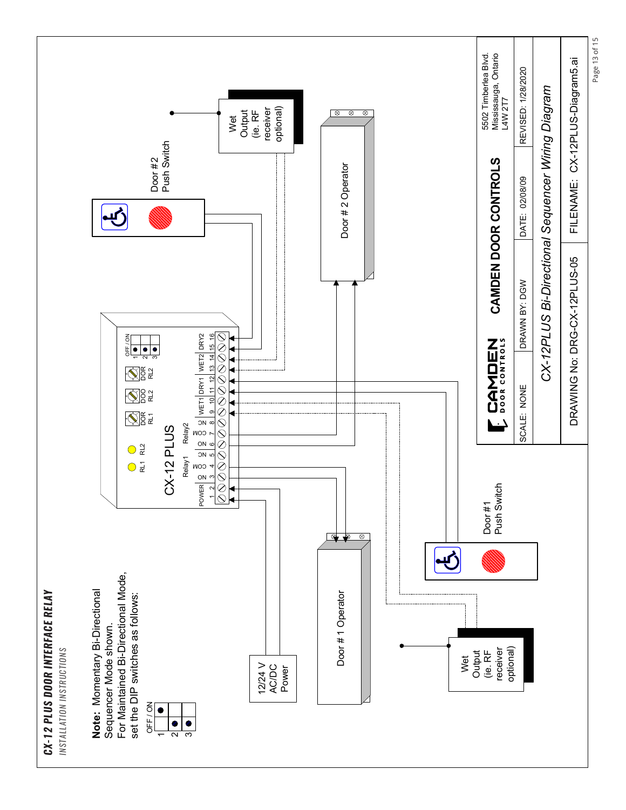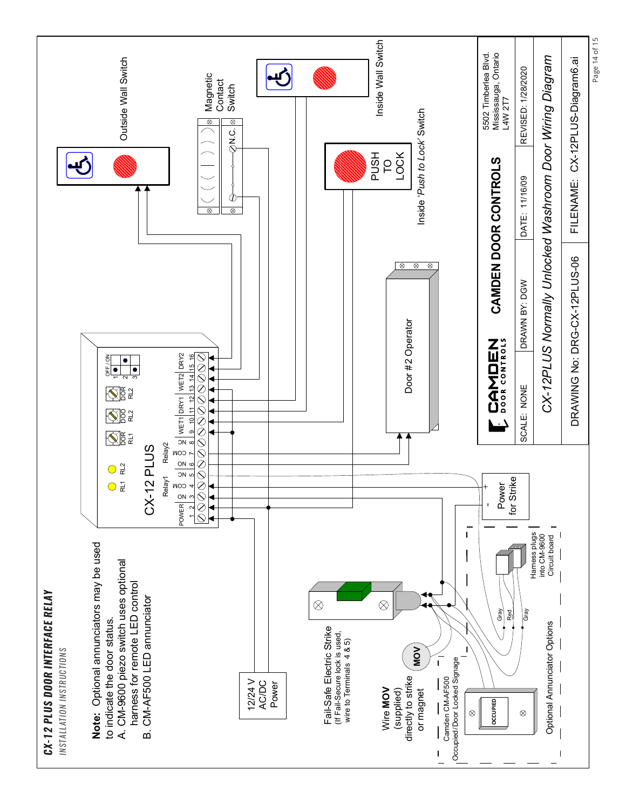